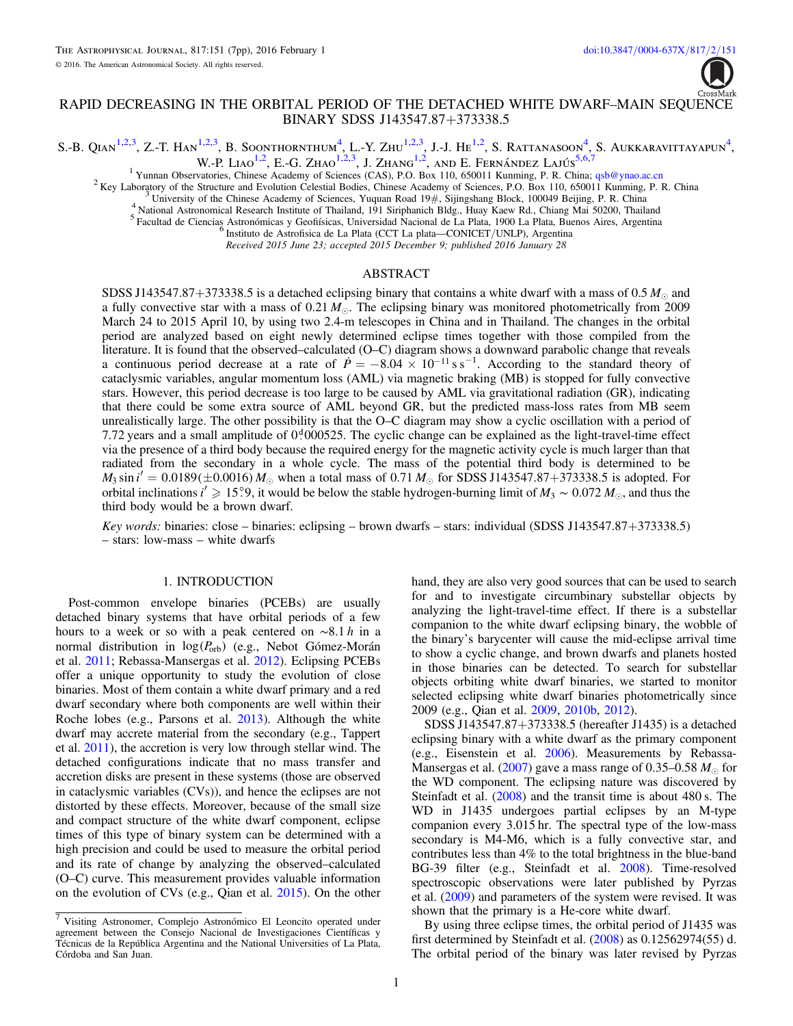# RAPID DECREASING IN THE ORBITAL PERIOD OF THE DETACHED WHITE DWARF–MAIN SEQUENCE BINARY SDSS J143547.87+373338.5

<span id="page-0-1"></span><span id="page-0-0"></span>S.-B. OIAN<sup>[1](#page-0-0)[,2](#page-0-1)[,3](#page-0-2)</sup>, Z.-T. Han<sup>1,2,3</sup>, B. Soonthornthum<sup>[4](#page-0-3)</sup>, L.-Y. Zhu<sup>1,2,3</sup>, J.-J. He<sup>1,2</sup>, S. Rattanasoon<sup>4</sup>, S. Aukkaravittayapun<sup>4</sup>,

W.-P. Liao<sup>[1](#page-0-0)[,2](#page-0-1)</sup>, E.-G. Zhao<sup>1,2[,3](#page-0-2)</sup>, J. Zhang<sup>1,2</sup>, and E. Fernández Lajús<sup>[5](#page-0-4)[,6](#page-0-5)[,7](#page-0-6)</sup>

<span id="page-0-2"></span><sup>1</sup> Yunnan Observatories, Chinese Academy of Sciences (CAS), P.O. Box 110, 650011 Kunming, P. R. China; [qsb@ynao.ac.cn](mailto:qsb@ynao.ac.cn) <sup>2</sup> Key Laboratory of the Structure and Evolution Celestial Bodies, Chinese Academy of Sciences, P.O.

<span id="page-0-5"></span><span id="page-0-4"></span><span id="page-0-3"></span>

Received 2015 June 23; accepted 2015 December 9; published 2016 January 28

## ABSTRACT

SDSS J143547.87+373338.5 is a detached eclipsing binary that contains a white dwarf with a mass of 0.5  $M_{\odot}$  and a fully convective star with a mass of  $0.21 M_{\odot}$ . The eclipsing binary was monitored photometrically from 2009 March 24 to 2015 April 10, by using two 2.4-m telescopes in China and in Thailand. The changes in the orbital period are analyzed based on eight newly determined eclipse times together with those compiled from the literature. It is found that the observed–calculated (O–C) diagram shows a downward parabolic change that reveals a continuous period decrease at a rate of  $\dot{P} = -8.04 \times 10^{-11}$  s s<sup>-1</sup>. According to the standard theory of cataclysmic variables, angular momentum loss (AML) via magnetic braking (MB) is stopped for fully convective stars. However, this period decrease is too large to be caused by AML via gravitational radiation (GR), indicating that there could be some extra source of AML beyond GR, but the predicted mass-loss rates from MB seem unrealistically large. The other possibility is that the O–C diagram may show a cyclic oscillation with a period of 7.72 years and a small amplitude of  $0<sup>d</sup>000525$ . The cyclic change can be explained as the light-travel-time effect via the presence of a third body because the required energy for the magnetic activity cycle is much larger than that radiated from the secondary in a whole cycle. The mass of the potential third body is determined to be  $M_3 \sin i' = 0.0189(\pm 0.0016) M_{\odot}$  when a total mass of 0.71  $M_{\odot}$  for SDSS J143547.87+373338.5 is adopted. For orbital inclinations *i<sup>†</sup>*  $\geq 15^\circ$ 9, it would be below the stable hydrogen-burning limit of  $M_3 \sim 0.072 M_{\odot}$ , and thus the third body would be a brown dwarf.

Key words: binaries: close – binaries: eclipsing – brown dwarfs – stars: individual (SDSS J143547.87+373338.5) – stars: low-mass – white dwarfs

#### 1. INTRODUCTION

Post-common envelope binaries (PCEBs) are usually detached binary systems that have orbital periods of a few hours to a week or so with a peak centered on ∼8.1 h in a normal distribution in log(P<sub>orb</sub>) (e.g., Nebot Gómez-Morán et al. [2011;](#page-6-0) Rebassa-Mansergas et al. [2012](#page-6-1)). Eclipsing PCEBs offer a unique opportunity to study the evolution of close binaries. Most of them contain a white dwarf primary and a red dwarf secondary where both components are well within their Roche lobes (e.g., Parsons et al. [2013](#page-6-2)). Although the white dwarf may accrete material from the secondary (e.g., Tappert et al. [2011](#page-6-3)), the accretion is very low through stellar wind. The detached configurations indicate that no mass transfer and accretion disks are present in these systems (those are observed in cataclysmic variables (CVs)), and hence the eclipses are not distorted by these effects. Moreover, because of the small size and compact structure of the white dwarf component, eclipse times of this type of binary system can be determined with a high precision and could be used to measure the orbital period and its rate of change by analyzing the observed–calculated (O–C) curve. This measurement provides valuable information on the evolution of CVs (e.g., Qian et al. [2015](#page-6-4)). On the other hand, they are also very good sources that can be used to search for and to investigate circumbinary substellar objects by analyzing the light-travel-time effect. If there is a substellar companion to the white dwarf eclipsing binary, the wobble of the binary's barycenter will cause the mid-eclipse arrival time to show a cyclic change, and brown dwarfs and planets hosted in those binaries can be detected. To search for substellar objects orbiting white dwarf binaries, we started to monitor selected eclipsing white dwarf binaries photometrically since 2009 (e.g., Qian et al. [2009](#page-6-5), [2010b,](#page-6-6) [2012](#page-6-7)).

SDSS J143547.87+373338.5 (hereafter J1435) is a detached eclipsing binary with a white dwarf as the primary component (e.g., Eisenstein et al. [2006](#page-6-8)). Measurements by Rebassa-Mansergas et al. ([2007](#page-6-9)) gave a mass range of 0.35–0.58  $M_{\odot}$  for the WD component. The eclipsing nature was discovered by Steinfadt et al. ([2008](#page-6-10)) and the transit time is about 480 s. The WD in J1435 undergoes partial eclipses by an M-type companion every 3.015 hr. The spectral type of the low-mass secondary is M4-M6, which is a fully convective star, and contributes less than 4% to the total brightness in the blue-band BG-39 filter (e.g., Steinfadt et al. [2008](#page-6-10)). Time-resolved spectroscopic observations were later published by Pyrzas et al. ([2009](#page-6-11)) and parameters of the system were revised. It was shown that the primary is a He-core white dwarf.

By using three eclipse times, the orbital period of J1435 was first determined by Steinfadt et al. ([2008](#page-6-10)) as 0.12562974(55) d. The orbital period of the binary was later revised by Pyrzas



<span id="page-0-6"></span><sup>7</sup> Visiting Astronomer, Complejo Astronómico El Leoncito operated under agreement between the Consejo Nacional de Investigaciones Científicas y Técnicas de la República Argentina and the National Universities of La Plata, Córdoba and San Juan.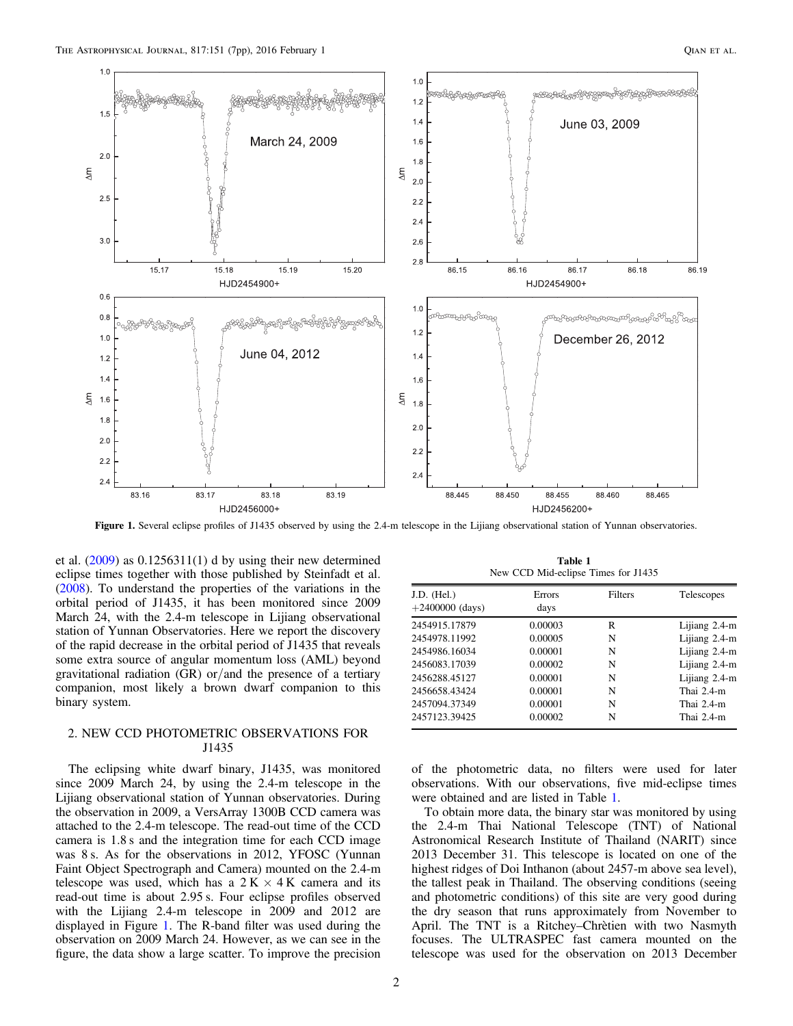<span id="page-1-0"></span>

Figure 1. Several eclipse profiles of J1435 observed by using the 2.4-m telescope in the Lijiang observational station of Yunnan observatories.

et al.  $(2009)$  $(2009)$  $(2009)$  as  $0.1256311(1)$  d by using their new determined eclipse times together with those published by Steinfadt et al. ([2008](#page-6-10)). To understand the properties of the variations in the orbital period of J1435, it has been monitored since 2009 March 24, with the 2.4-m telescope in Lijiang observational station of Yunnan Observatories. Here we report the discovery of the rapid decrease in the orbital period of J1435 that reveals some extra source of angular momentum loss (AML) beyond gravitational radiation (GR) or/and the presence of a tertiary companion, most likely a brown dwarf companion to this binary system.

## 2. NEW CCD PHOTOMETRIC OBSERVATIONS FOR J1435

The eclipsing white dwarf binary, J1435, was monitored since 2009 March 24, by using the 2.4-m telescope in the Lijiang observational station of Yunnan observatories. During the observation in 2009, a VersArray 1300B CCD camera was attached to the 2.4-m telescope. The read-out time of the CCD camera is 1.8 s and the integration time for each CCD image was 8 s. As for the observations in 2012, YFOSC (Yunnan Faint Object Spectrograph and Camera) mounted on the 2.4-m telescope was used, which has a  $2 K \times 4 K$  camera and its read-out time is about 2.95 s. Four eclipse profiles observed with the Lijiang 2.4-m telescope in 2009 and 2012 are displayed in Figure [1.](#page-1-0) The R-band filter was used during the observation on 2009 March 24. However, as we can see in the figure, the data show a large scatter. To improve the precision

Table 1 New CCD Mid-eclipse Times for J1435

<span id="page-1-1"></span>

| J.D. (Hel.)<br>$+2400000$ (days) | Errors<br>days | Filters | Telescopes    |
|----------------------------------|----------------|---------|---------------|
|                                  |                |         |               |
| 2454978.11992                    | 0.00005        | N       | Lijiang 2.4-m |
| 2454986.16034                    | 0.00001        | N       | Lijiang 2.4-m |
| 2456083.17039                    | 0.00002        | N       | Lijiang 2.4-m |
| 2456288.45127                    | 0.00001        | N       | Lijiang 2.4-m |
| 2456658.43424                    | 0.00001        | N       | Thai $2.4-m$  |
| 2457094.37349                    | 0.00001        | N       | Thai $2.4-m$  |
| 2457123.39425                    | 0.00002        | N       | Thai $2.4-m$  |

of the photometric data, no filters were used for later observations. With our observations, five mid-eclipse times were obtained and are listed in Table [1.](#page-1-1)

To obtain more data, the binary star was monitored by using the 2.4-m Thai National Telescope (TNT) of National Astronomical Research Institute of Thailand (NARIT) since 2013 December 31. This telescope is located on one of the highest ridges of Doi Inthanon (about 2457-m above sea level), the tallest peak in Thailand. The observing conditions (seeing and photometric conditions) of this site are very good during the dry season that runs approximately from November to April. The TNT is a Ritchey–Chrètien with two Nasmyth focuses. The ULTRASPEC fast camera mounted on the telescope was used for the observation on 2013 December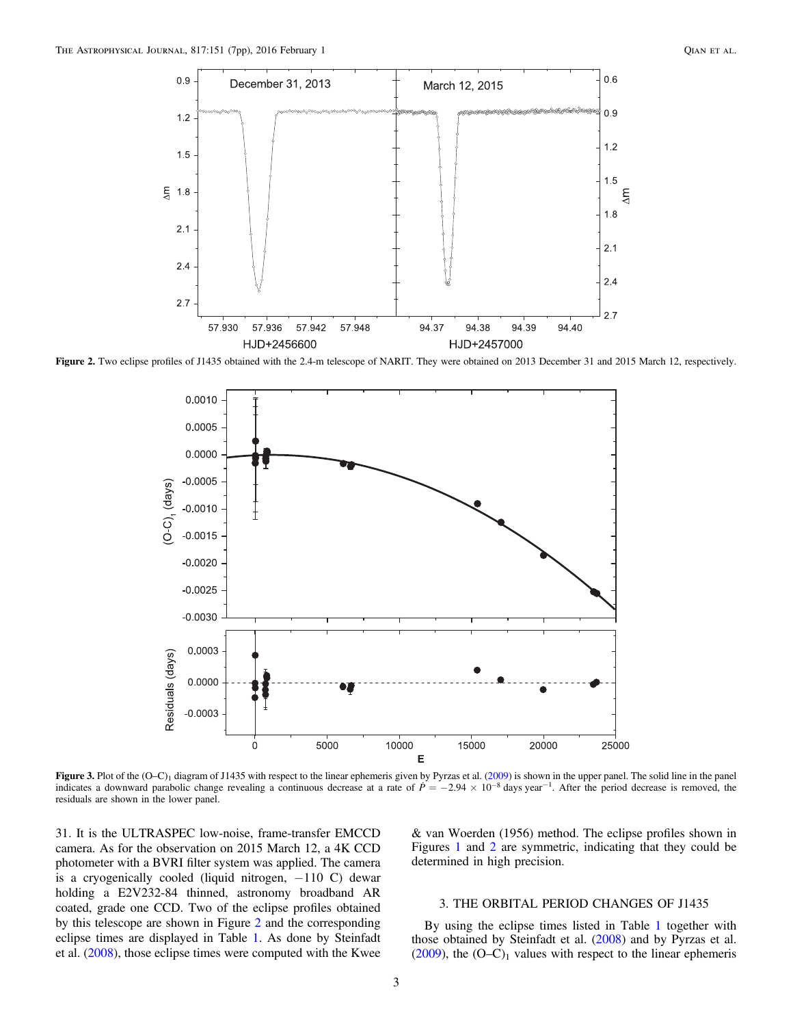<span id="page-2-0"></span>

<span id="page-2-1"></span>Figure 2. Two eclipse profiles of J1435 obtained with the 2.4-m telescope of NARIT. They were obtained on 2013 December 31 and 2015 March 12, respectively.



Figure 3. Plot of the  $(O-C)_1$  diagram of J1435 with respect to the linear ephemeris given by Pyrzas et al. ([2009](#page-6-11)) is shown in the upper panel. The solid line in the panel indicates a downward parabolic change revealing a continuous decrease at a rate of  $P = -2.94 \times 10^{-8}$  days year<sup>-1</sup>. After the period decrease is removed, the residuals are shown in the lower panel.

31. It is the ULTRASPEC low-noise, frame-transfer EMCCD camera. As for the observation on 2015 March 12, a 4K CCD photometer with a BVRI filter system was applied. The camera is a cryogenically cooled (liquid nitrogen,  $-110$  C) dewar holding a E2V232-84 thinned, astronomy broadband AR coated, grade one CCD. Two of the eclipse profiles obtained by this telescope are shown in Figure [2](#page-2-0) and the corresponding eclipse times are displayed in Table [1](#page-1-1). As done by Steinfadt et al. ([2008](#page-6-10)), those eclipse times were computed with the Kwee

& van Woerden (1956) method. The eclipse profiles shown in Figures [1](#page-1-0) and [2](#page-2-0) are symmetric, indicating that they could be determined in high precision.

## 3. THE ORBITAL PERIOD CHANGES OF J1435

By using the eclipse times listed in Table [1](#page-1-1) together with those obtained by Steinfadt et al. ([2008](#page-6-10)) and by Pyrzas et al. ([2009](#page-6-11)), the  $(O-C)<sub>1</sub>$  values with respect to the linear ephemeris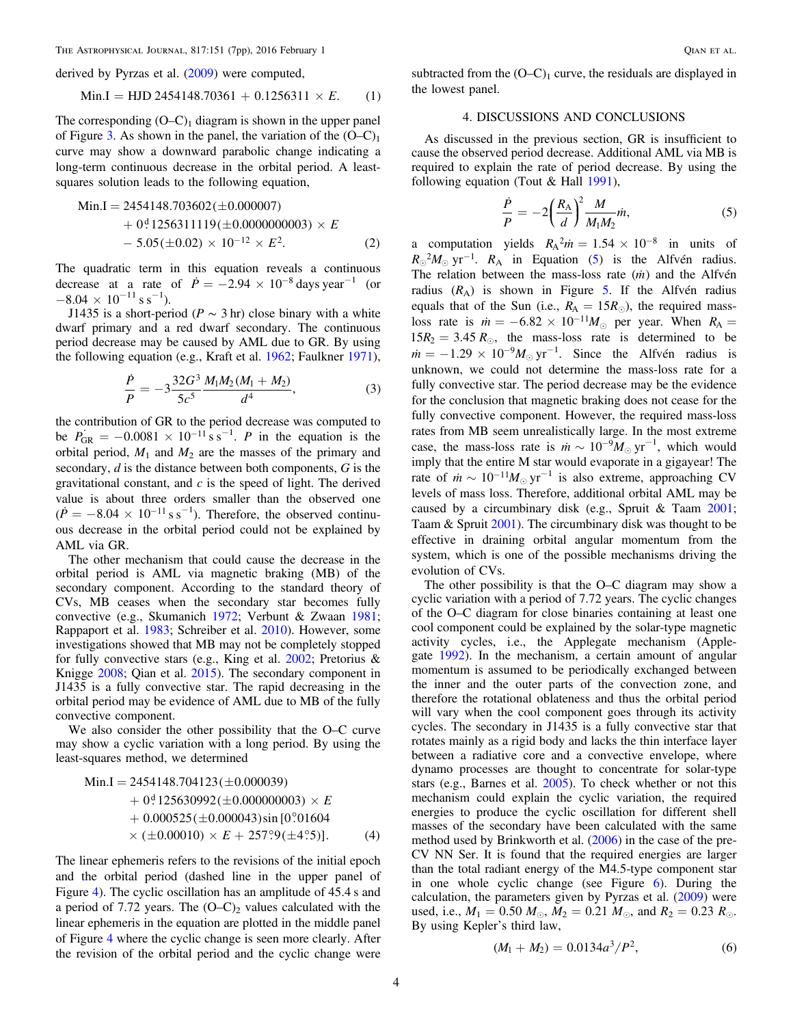The Astrophysical Journal, 817:151 (7pp), 2016 February 1 Qian et al.

derived by Pyrzas et al. ([2009](#page-6-11)) were computed,

$$
Min.I = HJD 2454148.70361 + 0.1256311 \times E.
$$
 (1)

The corresponding  $(O-C)_1$  diagram is shown in the upper panel of Figure [3](#page-2-1). As shown in the panel, the variation of the  $(O-C)_1$ curve may show a downward parabolic change indicating a long-term continuous decrease in the orbital period. A leastsquares solution leads to the following equation,

*E E* Min.I 2454148.703602 0.000007 ( ) = 0 . 1256311119 0.0000000003 5.05 0.02 10 . 2 d 12 2 ( ) ( ) () + ´ -´ ´ -

The quadratic term in this equation reveals a continuous decrease at a rate of  $\dot{P} = -2.94 \times 10^{-8}$  days year<sup>-1</sup> (or  $-8.04 \times 10^{-11}$  s s<sup>-1</sup>).

J1435 is a short-period ( $P \sim 3$  hr) close binary with a white dwarf primary and a red dwarf secondary. The continuous period decrease may be caused by AML due to GR. By using the following equation (e.g., Kraft et al. [1962;](#page-6-12) Faulkner [1971](#page-6-13)),

$$
\frac{\dot{P}}{P} = -3\frac{32G^3}{5c^5} \frac{M_1 M_2 (M_1 + M_2)}{d^4},\tag{3}
$$

the contribution of GR to the period decrease was computed to be  $P_{GR} = -0.0081 \times 10^{-11}$  s s<sup>-1</sup>. P in the equation is the orbital period,  $M_1$  and  $M_2$  are the masses of the primary and secondary, *d* is the distance between both components, *G* is the gravitational constant, and  $c$  is the speed of light. The derived value is about three orders smaller than the observed one  $(\dot{P} = -8.04 \times 10^{-11} \text{ s s}^{-1})$ . Therefore, the observed continuous decrease in the orbital period could not be explained by AML via GR.

The other mechanism that could cause the decrease in the orbital period is AML via magnetic braking (MB) of the secondary component. According to the standard theory of CVs, MB ceases when the secondary star becomes fully convective (e.g., Skumanich [1972;](#page-6-14) Verbunt & Zwaan [1981](#page-6-15); Rappaport et al. [1983](#page-6-16); Schreiber et al. [2010](#page-6-17)). However, some investigations showed that MB may not be completely stopped for fully convective stars (e.g., King et al. [2002](#page-6-18); Pretorius & Knigge [2008](#page-6-19); Qian et al. [2015](#page-6-4)). The secondary component in J1435 is a fully convective star. The rapid decreasing in the orbital period may be evidence of AML due to MB of the fully convective component.

<span id="page-3-1"></span>We also consider the other possibility that the O–C curve may show a cyclic variation with a long period. By using the least-squares method, we determined

$$
\begin{aligned} \text{Min.I} &= 2454148.704123 \, (\pm 0.000039) \\ &+ 0^4 125630992 \, (\pm 0.00000003) \times E \\ &+ 0.000525 \, (\pm 0.000043) \sin \left[ 0^\circ \right] 01604 \\ &\times (\pm 0.00010) \times E + 257^\circ \right] 9 (\pm 4^\circ \cdot 5)]. \end{aligned} \tag{4}
$$

The linear ephemeris refers to the revisions of the initial epoch and the orbital period (dashed line in the upper panel of Figure [4](#page-4-0)). The cyclic oscillation has an amplitude of 45.4 s and a period of 7.72 years. The  $(O-C)_2$  values calculated with the linear ephemeris in the equation are plotted in the middle panel of Figure [4](#page-4-0) where the cyclic change is seen more clearly. After the revision of the orbital period and the cyclic change were

subtracted from the  $(O-C)_1$  curve, the residuals are displayed in the lowest panel.

#### 4. DISCUSSIONS AND CONCLUSIONS

<span id="page-3-0"></span>As discussed in the previous section, GR is insufficient to cause the observed period decrease. Additional AML via MB is required to explain the rate of period decrease. By using the following equation (Tout  $& Hall$  [1991](#page-6-20)),

$$
\frac{\dot{P}}{P} = -2\left(\frac{R_{\rm A}}{d}\right)^2 \frac{M}{M_1 M_2} \dot{m},\tag{5}
$$

a computation yields  $R_A^2 \dot{m} = 1.54 \times 10^{-8}$  in units of  $R_{\odot}^{2}M_{\odot}$  yr<sup>-1</sup>.  $R_{\rm A}$  in Equation ([5](#page-3-0)) is the Alfvén radius. The relation between the mass-loss rate (*m*) and the Alfvén radius  $(R_A)$  is shown in Figure [5](#page-4-1). If the Alfvén radius equals that of the Sun (i.e.,  $R_A = 15R_{\odot}$ ), the required massloss rate is  $\dot{m} = -6.82 \times 10^{-11} M_{\odot}$  per year. When  $R_A =$  $15 R_2 = 3.45 R_{\odot}$ , the mass-loss rate is determined to be  $\dot{m} = -1.29 \times 10^{-9} M_{\odot} \text{ yr}^{-1}$ . Since the Alfvén radius is unknown, we could not determine the mass-loss rate for a fully convective star. The period decrease may be the evidence for the conclusion that magnetic braking does not cease for the fully convective component. However, the required mass-loss rates from MB seem unrealistically large. In the most extreme case, the mass-loss rate is  $\dot{m} \sim 10^{-9} M_{\odot} \text{ yr}^{-1}$ , which would imply that the entire M star would evaporate in a gigayear! The rate of  $\dot{m} \sim 10^{-11} M_{\odot} \text{ yr}^{-1}$  is also extreme, approaching CV levels of mass loss. Therefore, additional orbital AML may be caused by a circumbinary disk (e.g., Spruit & Taam [2001](#page-6-21); Taam & Spruit [2001](#page-6-22)). The circumbinary disk was thought to be effective in draining orbital angular momentum from the system, which is one of the possible mechanisms driving the evolution of CVs[.](#page-5-0)

The other possibility is that the O–C diagram may show a cyclic variation with a period of 7.72 years. The cyclic changes of the O–C diagram for close binaries containing at least one cool component could be explained by the solar-type magnetic activity cycles, i.e., the Applegate mechanism (Applegate [1992](#page-6-23)). In the mechanism, a certain amount of angular momentum is assumed to be periodically exchanged between the inner and the outer parts of the convection zone, and therefore the rotational oblateness and thus the orbital period will vary when the cool component goes through its activity cycles. The secondary in J1435 is a fully convective star that rotates mainly as a rigid body and lacks the thin interface layer between a radiative core and a convective envelope, where dynamo processes are thought to concentrate for solar-type stars (e.g., Barnes et al. [2005](#page-6-24)). To check whether or not this mechanism could explain the cyclic variation, the required energies to produce the cyclic oscillation for different shell masses of the secondary have been calculated with the same method used by Brinkworth et al. ([2006](#page-6-25)) in the case of the pre-CV NN Ser. It is found that the required energies are larger than the total radiant energy of the M4.5-type component star in one whole cyclic change (see Figure [6](#page-5-0)). During the calculation, the parameters given by Pyrzas et al. ([2009](#page-6-11)) were used, i.e.,  $M_1 = 0.50$   $M_{\odot}$ ,  $M_2 = 0.21$   $M_{\odot}$ , and  $R_2 = 0.23$   $R_{\odot}$ . By using Kepler's third law,

$$
(M_1 + M_2) = 0.0134a^3/P^2, \tag{6}
$$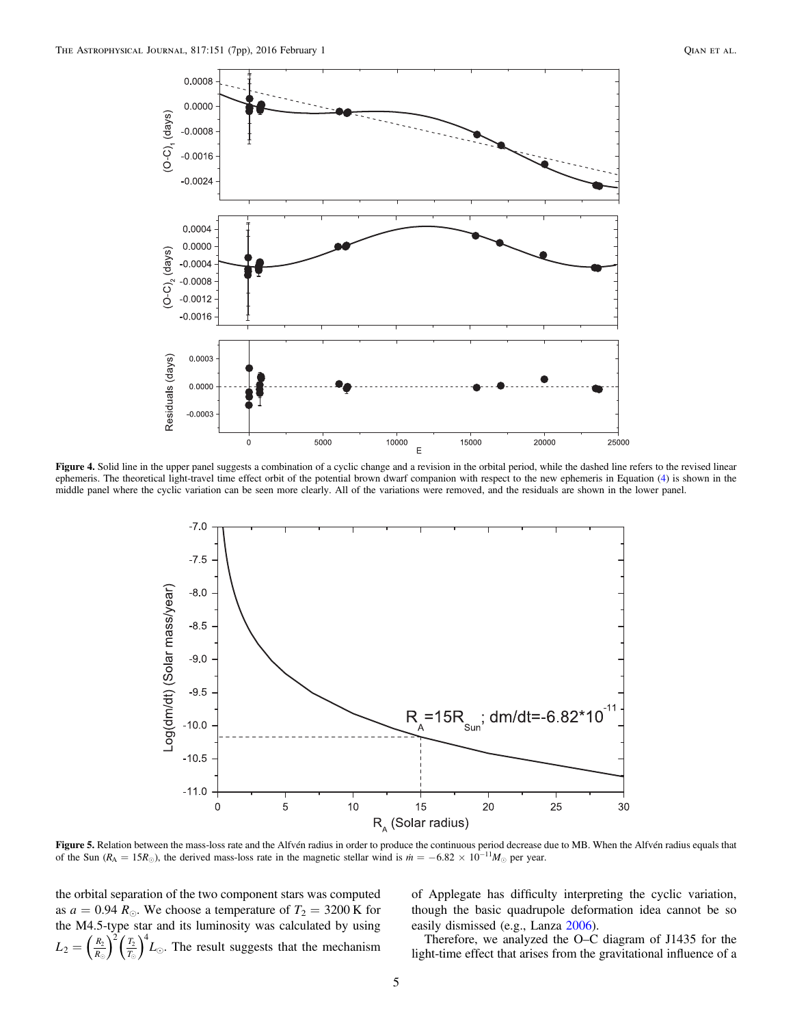<span id="page-4-0"></span>

<span id="page-4-1"></span>Figure 4. Solid line in the upper panel suggests a combination of a cyclic change and a revision in the orbital period, while the dashed line refers to the revised linear ephemeris. The theoretical light-travel time effect orbit of the potential brown dwarf companion with respect to the new ephemeris in Equation ([4](#page-3-1)) is shown in the middle panel where the cyclic variation can be seen more clearly. All of the variations were removed, and the residuals are shown in the lower panel.



Figure 5. Relation between the mass-loss rate and the Alfvén radius in order to produce the continuous period decrease due to MB. When the Alfvén radius equals that of the Sun ( $R_A = 15R_{\odot}$ ), the derived mass-loss rate in the magnetic stellar wind is  $\dot{m} = -6.82 \times 10^{-11} M_{\odot}$  per year.

the orbital separation of the two component stars was computed as  $a = 0.94 R_{\odot}$ . We choose a temperature of  $T_2 = 3200 \text{ K}$  for the M4.5-type star and its luminosity was calculated by using  $L_2 = \left(\frac{R}{R}\right)$  $T_2 = \left(\frac{R_2}{R_{\odot}}\right)^2 \left(\frac{T_2}{T_{\odot}}\right)^4 L_{\odot}$ . The result suggests that the mechanism

of Applegate has difficulty interpreting the cyclic variation, though the basic quadrupole deformation idea cannot be so easily dismissed (e.g., Lanza [2006](#page-6-26)).

Therefore, we analyzed the O–C diagram of J1435 for the light-time effect that arises from the gravitational influence of a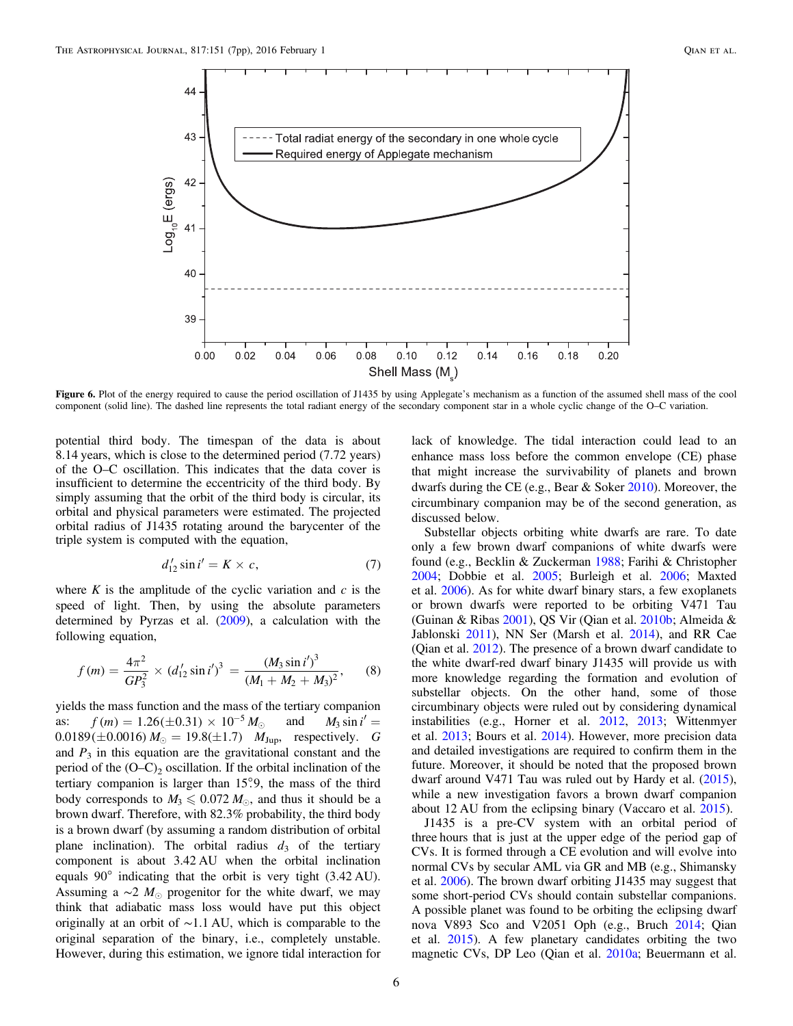<span id="page-5-0"></span>

Figure 6. Plot of the energy required to cause the period oscillation of J1435 by using Applegate's mechanism as a function of the assumed shell mass of the cool component (solid line). The dashed line represents the total radiant energy of the secondary component star in a whole cyclic change of the O–C variation.

potential third body. The timespan of the data is about 8.14 years, which is close to the determined period (7.72 years) of the O–C oscillation. This indicates that the data cover is insufficient to determine the eccentricity of the third body. By simply assuming that the orbit of the third body is circular, its orbital and physical parameters were estimated. The projected orbital radius of J1435 rotating around the barycenter of the triple system is computed with the equation,

$$
d'_{12}\sin i' = K \times c,\tag{7}
$$

where  $K$  is the amplitude of the cyclic variation and  $c$  is the speed of light. Then, by using the absolute parameters determined by Pyrzas et al. ([2009](#page-6-11)), a calculation with the following equation,

$$
f(m) = \frac{4\pi^2}{GP_3^2} \times (d'_{12} \sin i')^3 = \frac{(M_3 \sin i')^3}{(M_1 + M_2 + M_3)^2},
$$
 (8)

yields the mass function and the mass of the tertiary companion as:  $f(m) = 1.26 (\pm 0.31) \times 10^{-5} M_{\odot}$  and  $M_3 \sin i' =$  $0.0189 (\pm 0.0016) M_{\odot} = 19.8 (\pm 1.7) M_{Jup}$ , respectively. G and  $P_3$  in this equation are the gravitational constant and the period of the  $(O-C)_2$  oscillation. If the orbital inclination of the tertiary companion is larger than 15°.9, the mass of the third body corresponds to  $M_3 \leqslant 0.072 M_{\odot}$ , and thus it should be a brown dwarf. Therefore, with 82.3% probability, the third body is a brown dwarf (by assuming a random distribution of orbital plane inclination). The orbital radius  $d_3$  of the tertiary component is about 3.42 AU when the orbital inclination equals 90° indicating that the orbit is very tight (3.42 AU). Assuming a  $\sim$ 2  $M_{\odot}$  progenitor for the white dwarf, we may think that adiabatic mass loss would have put this object originally at an orbit of ∼1.1 AU, which is comparable to the original separation of the binary, i.e., completely unstable. However, during this estimation, we ignore tidal interaction for lack of knowledge. The tidal interaction could lead to an enhance mass loss before the common envelope (CE) phase that might increase the survivability of planets and brown dwarfs during the CE (e.g., Bear & Soker [2010](#page-6-27)). Moreover, the circumbinary companion may be of the second generation, as discussed below.

Substellar objects orbiting white dwarfs are rare. To date only a few brown dwarf companions of white dwarfs were found (e.g., Becklin & Zuckerman [1988](#page-6-28); Farihi & Christopher [2004;](#page-6-29) Dobbie et al. [2005](#page-6-30); Burleigh et al. [2006;](#page-6-31) Maxted et al. [2006](#page-6-32)). As for white dwarf binary stars, a few exoplanets or brown dwarfs were reported to be orbiting V471 Tau (Guinan & Ribas [2001](#page-6-33)), QS Vir (Qian et al. [2010b](#page-6-6); Almeida & Jablonski [2011](#page-6-34)), NN Ser (Marsh et al. [2014](#page-6-35)), and RR Cae (Qian et al. [2012](#page-6-7)). The presence of a brown dwarf candidate to the white dwarf-red dwarf binary J1435 will provide us with more knowledge regarding the formation and evolution of substellar objects. On the other hand, some of those circumbinary objects were ruled out by considering dynamical instabilities (e.g., Horner et al. [2012,](#page-6-36) [2013](#page-6-37); Wittenmyer et al. [2013](#page-6-38); Bours et al. [2014](#page-6-39)). However, more precision data and detailed investigations are required to confirm them in the future. Moreover, it should be noted that the proposed brown dwarf around V471 Tau was ruled out by Hardy et al. ([2015](#page-6-40)), while a new investigation favors a brown dwarf companion about 12 AU from the eclipsing binary (Vaccaro et al. [2015](#page-6-41)).

J1435 is a pre-CV system with an orbital period of three hours that is just at the upper edge of the period gap of CVs. It is formed through a CE evolution and will evolve into normal CVs by secular AML via GR and MB (e.g., Shimansky et al. [2006](#page-6-42)). The brown dwarf orbiting J1435 may suggest that some short-period CVs should contain substellar companions. A possible planet was found to be orbiting the eclipsing dwarf nova V893 Sco and V2051 Oph (e.g., Bruch [2014](#page-6-43); Qian et al. [2015](#page-6-4)). A few planetary candidates orbiting the two magnetic CVs, DP Leo (Qian et al. [2010a](#page-6-44); Beuermann et al.